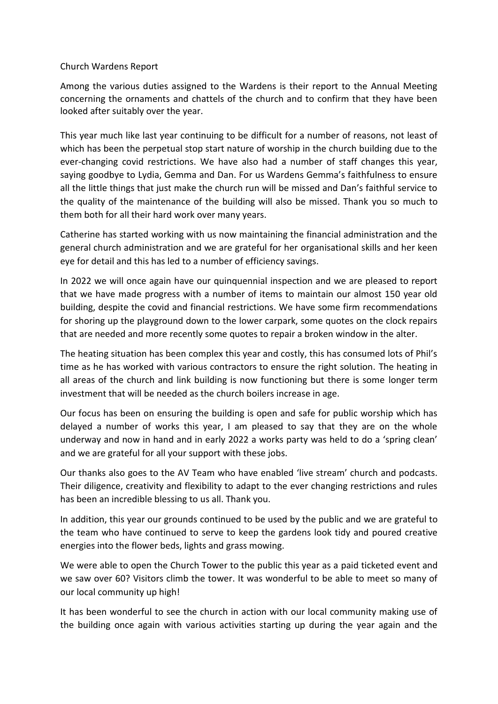## Church Wardens Report

Among the various duties assigned to the Wardens is their report to the Annual Meeting concerning the ornaments and chattels of the church and to confirm that they have been looked after suitably over the year.

This year much like last year continuing to be difficult for a number of reasons, not least of which has been the perpetual stop start nature of worship in the church building due to the ever-changing covid restrictions. We have also had a number of staff changes this year, saying goodbye to Lydia, Gemma and Dan. For us Wardens Gemma's faithfulness to ensure all the little things that just make the church run will be missed and Dan's faithful service to the quality of the maintenance of the building will also be missed. Thank you so much to them both for all their hard work over many years.

Catherine has started working with us now maintaining the financial administration and the general church administration and we are grateful for her organisational skills and her keen eye for detail and this has led to a number of efficiency savings.

In 2022 we will once again have our quinquennial inspection and we are pleased to report that we have made progress with a number of items to maintain our almost 150 year old building, despite the covid and financial restrictions. We have some firm recommendations for shoring up the playground down to the lower carpark, some quotes on the clock repairs that are needed and more recently some quotes to repair a broken window in the alter.

The heating situation has been complex this year and costly, this has consumed lots of Phil's time as he has worked with various contractors to ensure the right solution. The heating in all areas of the church and link building is now functioning but there is some longer term investment that will be needed as the church boilers increase in age.

Our focus has been on ensuring the building is open and safe for public worship which has delayed a number of works this year, I am pleased to say that they are on the whole underway and now in hand and in early 2022 a works party was held to do a 'spring clean' and we are grateful for all your support with these jobs.

Our thanks also goes to the AV Team who have enabled 'live stream' church and podcasts. Their diligence, creativity and flexibility to adapt to the ever changing restrictions and rules has been an incredible blessing to us all. Thank you.

In addition, this year our grounds continued to be used by the public and we are grateful to the team who have continued to serve to keep the gardens look tidy and poured creative energies into the flower beds, lights and grass mowing.

We were able to open the Church Tower to the public this year as a paid ticketed event and we saw over 60? Visitors climb the tower. It was wonderful to be able to meet so many of our local community up high!

It has been wonderful to see the church in action with our local community making use of the building once again with various activities starting up during the year again and the